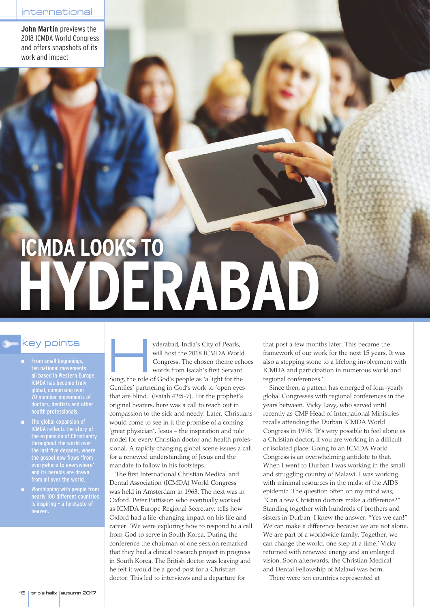**John Martin** previews the 2018 ICMDA World Congress and offers snapshots of its work and impact

# **ICMDA LOOKS TO HYDERABAD**

- From small beginnings, ten national movements all based in Western Europe, ICMDA has become truly global, comprising over 70 member movements of doctors, dentists and other health professionals.
- ICMDA reflects the story of the expansion of Christianity throughout the world over the gospel now flows 'from everywhere to everywhere' and its heralds are drawn from all over the world.
- Worshipping with people from nearly 100 different countries is inspiring – a foretaste of heaven.

key points will host the 2018 ICMDA World (1991) From small beginnings,<br>
ten national movements words from Isaiah's first Servant will host the 2018 ICMDA World Congress. The chosen theme echoes words from Isaiah's first Servant

Song, the role of God's people as 'a light for the Gentiles' partnering in God's work to 'open eyes that are blind.' (Isaiah 42:5-7). For the prophet's original hearers, here was a call to reach out in compassion to the sick and needy. Later, Christians would come to see in it the promise of a coming 'great physician', Jesus – the inspiration and role model for every Christian doctor and health professional. A rapidly changing global scene issues a call for a renewed understanding of Jesus and the mandate to follow in his footsteps.

The first International Christian Medical and Dental Association (ICMDA) World Congress was held in Amsterdam in 1963. The next was in Oxford. Peter Pattisson who eventually worked as ICMDA Europe Regional Secretary, tells how Oxford had a life-changing impact on his life and career. 'We were exploring how to respond to a call from God to serve in South Korea. During the conference the chairman of one session remarked that they had a clinical research project in progress in South Korea. The British doctor was leaving and he felt it would be a good post for a Christian doctor. This led to interviews and a departure for

that post a few months later. This became the framework of our work for the next 15 years. It was also a stepping stone to a lifelong involvement with ICMDA and participation in numerous world and regional conferences.'

Since then, a pattern has emerged of four-yearly global Congresses with regional conferences in the years between. Vicky Lavy, who served until recently as CMF Head of International Ministries recalls attending the Durban ICMDA World Congress in 1998. 'It's very possible to feel alone as a Christian doctor, if you are working in a difficult or isolated place. Going to an ICMDA World Congress is an overwhelming antidote to that. When I went to Durban I was working in the small and struggling country of Malawi. I was working with minimal resources in the midst of the AIDS epidemic. The question often on my mind was, "Can a few Christian doctors make a difference?" Standing together with hundreds of brothers and sisters in Durban, I knew the answer: "Yes we can!" We can make a difference because we are not alone. We are part of a worldwide family. Together, we can change the world, one step at a time.' Vicky returned with renewed energy and an enlarged vision. Soon afterwards, the Christian Medical and Dental Fellowship of Malawi was born.

There were ten countries represented at